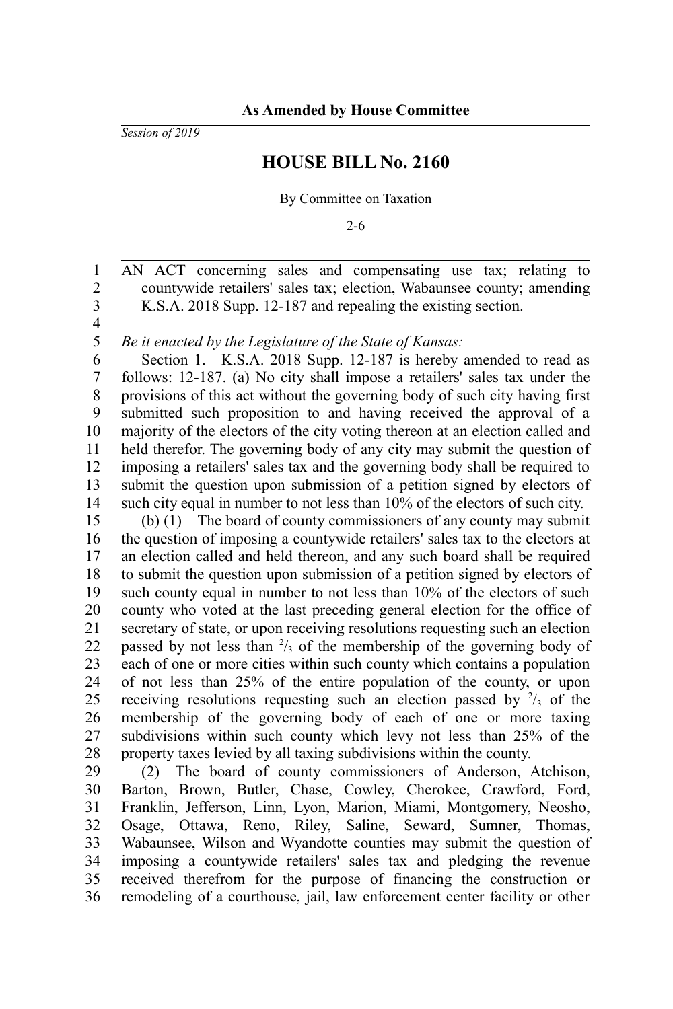*Session of 2019*

## **HOUSE BILL No. 2160**

By Committee on Taxation

2-6

AN ACT concerning sales and compensating use tax; relating to countywide retailers' sales tax; election, Wabaunsee county; amending K.S.A. 2018 Supp. 12-187 and repealing the existing section. 1 2 3

4 5

*Be it enacted by the Legislature of the State of Kansas:*

Section 1. K.S.A. 2018 Supp. 12-187 is hereby amended to read as follows: 12-187. (a) No city shall impose a retailers' sales tax under the provisions of this act without the governing body of such city having first submitted such proposition to and having received the approval of a majority of the electors of the city voting thereon at an election called and held therefor. The governing body of any city may submit the question of imposing a retailers' sales tax and the governing body shall be required to submit the question upon submission of a petition signed by electors of such city equal in number to not less than 10% of the electors of such city. 6 7 8 9 10 11 12 13 14

(b) (1) The board of county commissioners of any county may submit the question of imposing a countywide retailers' sales tax to the electors at an election called and held thereon, and any such board shall be required to submit the question upon submission of a petition signed by electors of such county equal in number to not less than 10% of the electors of such county who voted at the last preceding general election for the office of secretary of state, or upon receiving resolutions requesting such an election passed by not less than  $\frac{2}{3}$  of the membership of the governing body of each of one or more cities within such county which contains a population of not less than 25% of the entire population of the county, or upon receiving resolutions requesting such an election passed by  $\frac{2}{3}$  of the membership of the governing body of each of one or more taxing subdivisions within such county which levy not less than 25% of the property taxes levied by all taxing subdivisions within the county. 15 16 17 18 19 20 21 22 23 24 25 26 27 28

(2) The board of county commissioners of Anderson, Atchison, Barton, Brown, Butler, Chase, Cowley, Cherokee, Crawford, Ford, Franklin, Jefferson, Linn, Lyon, Marion, Miami, Montgomery, Neosho, Osage, Ottawa, Reno, Riley, Saline, Seward, Sumner, Thomas, Wabaunsee, Wilson and Wyandotte counties may submit the question of imposing a countywide retailers' sales tax and pledging the revenue received therefrom for the purpose of financing the construction or remodeling of a courthouse, jail, law enforcement center facility or other 29 30 31 32 33 34 35 36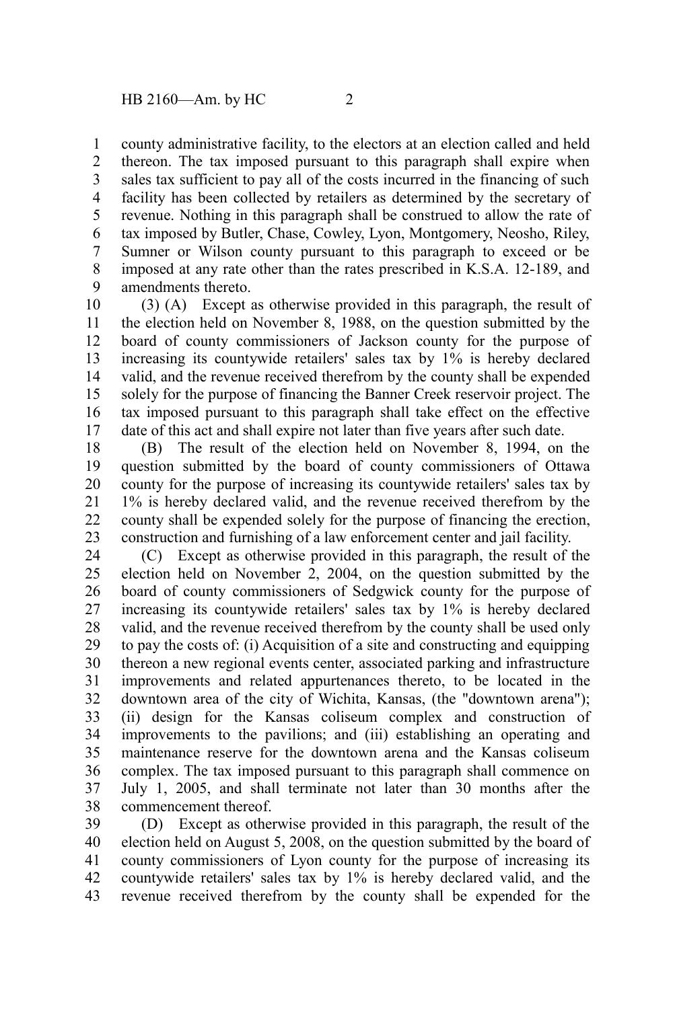county administrative facility, to the electors at an election called and held thereon. The tax imposed pursuant to this paragraph shall expire when sales tax sufficient to pay all of the costs incurred in the financing of such facility has been collected by retailers as determined by the secretary of revenue. Nothing in this paragraph shall be construed to allow the rate of tax imposed by Butler, Chase, Cowley, Lyon, Montgomery, Neosho, Riley, Sumner or Wilson county pursuant to this paragraph to exceed or be imposed at any rate other than the rates prescribed in K.S.A. 12-189, and amendments thereto. 1 2 3 4 5 6 7 8 9

(3) (A) Except as otherwise provided in this paragraph, the result of the election held on November 8, 1988, on the question submitted by the board of county commissioners of Jackson county for the purpose of increasing its countywide retailers' sales tax by 1% is hereby declared valid, and the revenue received therefrom by the county shall be expended solely for the purpose of financing the Banner Creek reservoir project. The tax imposed pursuant to this paragraph shall take effect on the effective date of this act and shall expire not later than five years after such date. 10 11 12 13 14 15 16 17

(B) The result of the election held on November 8, 1994, on the question submitted by the board of county commissioners of Ottawa county for the purpose of increasing its countywide retailers' sales tax by 1% is hereby declared valid, and the revenue received therefrom by the county shall be expended solely for the purpose of financing the erection, construction and furnishing of a law enforcement center and jail facility. 18 19 20 21 22 23

(C) Except as otherwise provided in this paragraph, the result of the election held on November 2, 2004, on the question submitted by the board of county commissioners of Sedgwick county for the purpose of increasing its countywide retailers' sales tax by 1% is hereby declared valid, and the revenue received therefrom by the county shall be used only to pay the costs of: (i) Acquisition of a site and constructing and equipping thereon a new regional events center, associated parking and infrastructure improvements and related appurtenances thereto, to be located in the downtown area of the city of Wichita, Kansas, (the "downtown arena"); (ii) design for the Kansas coliseum complex and construction of improvements to the pavilions; and (iii) establishing an operating and maintenance reserve for the downtown arena and the Kansas coliseum complex. The tax imposed pursuant to this paragraph shall commence on July 1, 2005, and shall terminate not later than 30 months after the commencement thereof. 24 25 26 27 28 29 30 31 32 33 34 35 36 37 38

(D) Except as otherwise provided in this paragraph, the result of the election held on August 5, 2008, on the question submitted by the board of county commissioners of Lyon county for the purpose of increasing its countywide retailers' sales tax by 1% is hereby declared valid, and the revenue received therefrom by the county shall be expended for the 39 40 41 42 43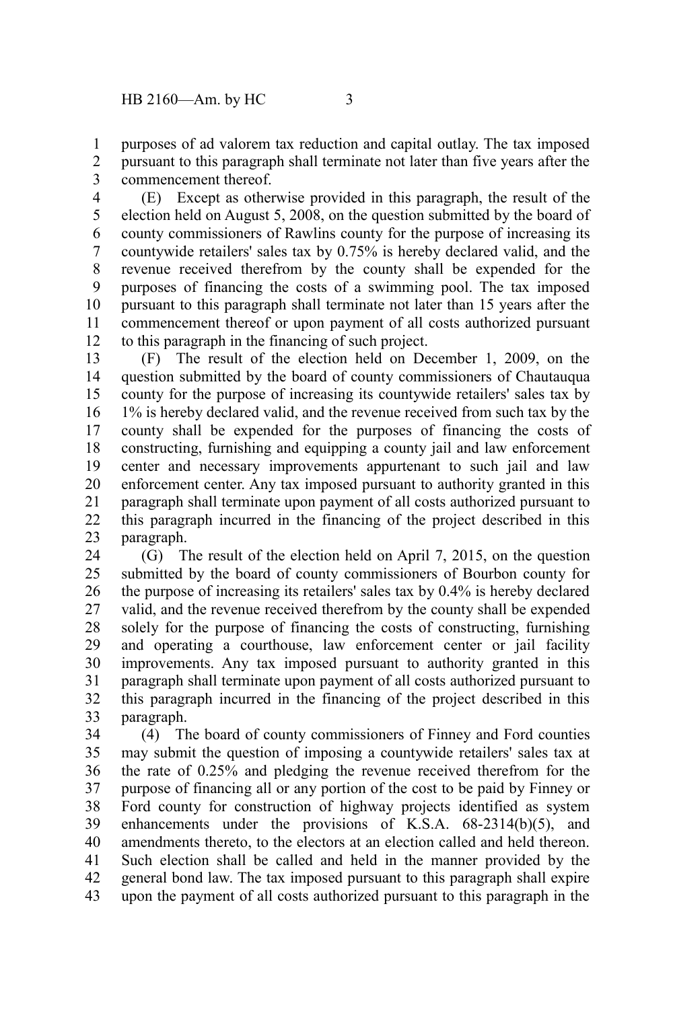purposes of ad valorem tax reduction and capital outlay. The tax imposed pursuant to this paragraph shall terminate not later than five years after the commencement thereof. 1 2 3

(E) Except as otherwise provided in this paragraph, the result of the election held on August 5, 2008, on the question submitted by the board of county commissioners of Rawlins county for the purpose of increasing its countywide retailers' sales tax by 0.75% is hereby declared valid, and the revenue received therefrom by the county shall be expended for the purposes of financing the costs of a swimming pool. The tax imposed pursuant to this paragraph shall terminate not later than 15 years after the commencement thereof or upon payment of all costs authorized pursuant to this paragraph in the financing of such project. 4 5 6 7 8 9 10 11 12

(F) The result of the election held on December 1, 2009, on the question submitted by the board of county commissioners of Chautauqua county for the purpose of increasing its countywide retailers' sales tax by 1% is hereby declared valid, and the revenue received from such tax by the county shall be expended for the purposes of financing the costs of constructing, furnishing and equipping a county jail and law enforcement center and necessary improvements appurtenant to such jail and law enforcement center. Any tax imposed pursuant to authority granted in this paragraph shall terminate upon payment of all costs authorized pursuant to this paragraph incurred in the financing of the project described in this paragraph. 13 14 15 16 17 18 19 20 21 22 23

(G) The result of the election held on April 7, 2015, on the question submitted by the board of county commissioners of Bourbon county for the purpose of increasing its retailers' sales tax by 0.4% is hereby declared valid, and the revenue received therefrom by the county shall be expended solely for the purpose of financing the costs of constructing, furnishing and operating a courthouse, law enforcement center or jail facility improvements. Any tax imposed pursuant to authority granted in this paragraph shall terminate upon payment of all costs authorized pursuant to this paragraph incurred in the financing of the project described in this paragraph. 24 25 26 27 28 29 30 31 32 33

(4) The board of county commissioners of Finney and Ford counties may submit the question of imposing a countywide retailers' sales tax at the rate of 0.25% and pledging the revenue received therefrom for the purpose of financing all or any portion of the cost to be paid by Finney or Ford county for construction of highway projects identified as system enhancements under the provisions of K.S.A. 68-2314(b)(5), and amendments thereto, to the electors at an election called and held thereon. Such election shall be called and held in the manner provided by the general bond law. The tax imposed pursuant to this paragraph shall expire upon the payment of all costs authorized pursuant to this paragraph in the 34 35 36 37 38 39 40 41 42 43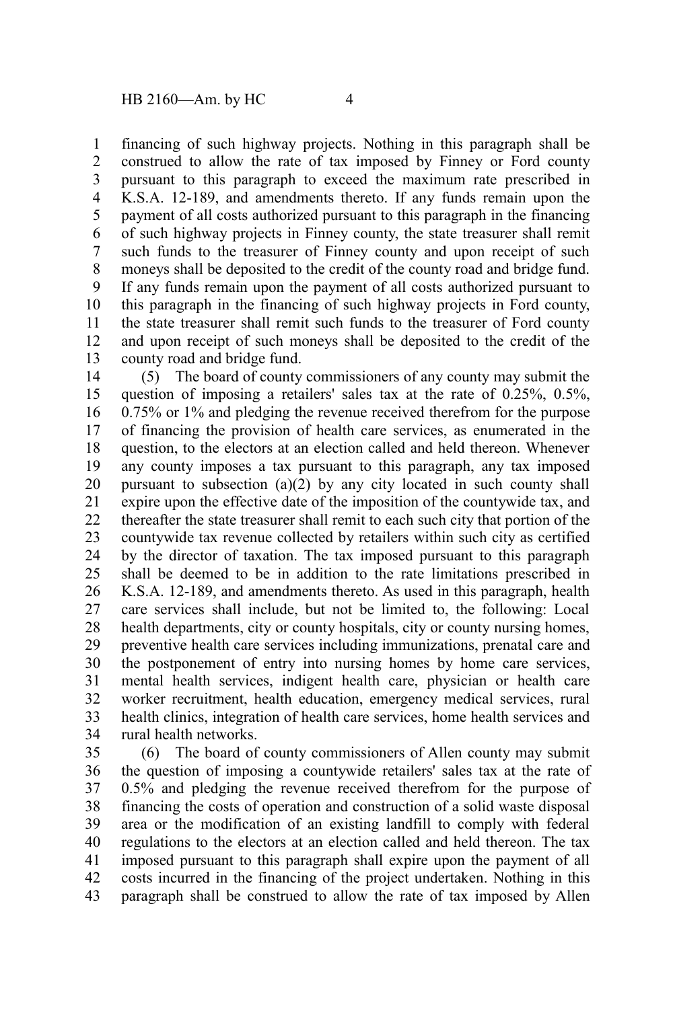financing of such highway projects. Nothing in this paragraph shall be construed to allow the rate of tax imposed by Finney or Ford county pursuant to this paragraph to exceed the maximum rate prescribed in K.S.A. 12-189, and amendments thereto. If any funds remain upon the payment of all costs authorized pursuant to this paragraph in the financing of such highway projects in Finney county, the state treasurer shall remit such funds to the treasurer of Finney county and upon receipt of such moneys shall be deposited to the credit of the county road and bridge fund. If any funds remain upon the payment of all costs authorized pursuant to this paragraph in the financing of such highway projects in Ford county, the state treasurer shall remit such funds to the treasurer of Ford county and upon receipt of such moneys shall be deposited to the credit of the county road and bridge fund. 1 2 3 4 5 6 7 8 9 10 11 12 13

(5) The board of county commissioners of any county may submit the question of imposing a retailers' sales tax at the rate of 0.25%, 0.5%, 0.75% or 1% and pledging the revenue received therefrom for the purpose of financing the provision of health care services, as enumerated in the question, to the electors at an election called and held thereon. Whenever any county imposes a tax pursuant to this paragraph, any tax imposed pursuant to subsection (a)(2) by any city located in such county shall expire upon the effective date of the imposition of the countywide tax, and thereafter the state treasurer shall remit to each such city that portion of the countywide tax revenue collected by retailers within such city as certified by the director of taxation. The tax imposed pursuant to this paragraph shall be deemed to be in addition to the rate limitations prescribed in K.S.A. 12-189, and amendments thereto. As used in this paragraph, health care services shall include, but not be limited to, the following: Local health departments, city or county hospitals, city or county nursing homes, preventive health care services including immunizations, prenatal care and the postponement of entry into nursing homes by home care services, mental health services, indigent health care, physician or health care worker recruitment, health education, emergency medical services, rural health clinics, integration of health care services, home health services and rural health networks. 14 15 16 17 18 19 20 21 22 23 24 25 26 27 28 29 30 31 32 33 34

(6) The board of county commissioners of Allen county may submit the question of imposing a countywide retailers' sales tax at the rate of 0.5% and pledging the revenue received therefrom for the purpose of financing the costs of operation and construction of a solid waste disposal area or the modification of an existing landfill to comply with federal regulations to the electors at an election called and held thereon. The tax imposed pursuant to this paragraph shall expire upon the payment of all costs incurred in the financing of the project undertaken. Nothing in this paragraph shall be construed to allow the rate of tax imposed by Allen 35 36 37 38 39 40 41 42 43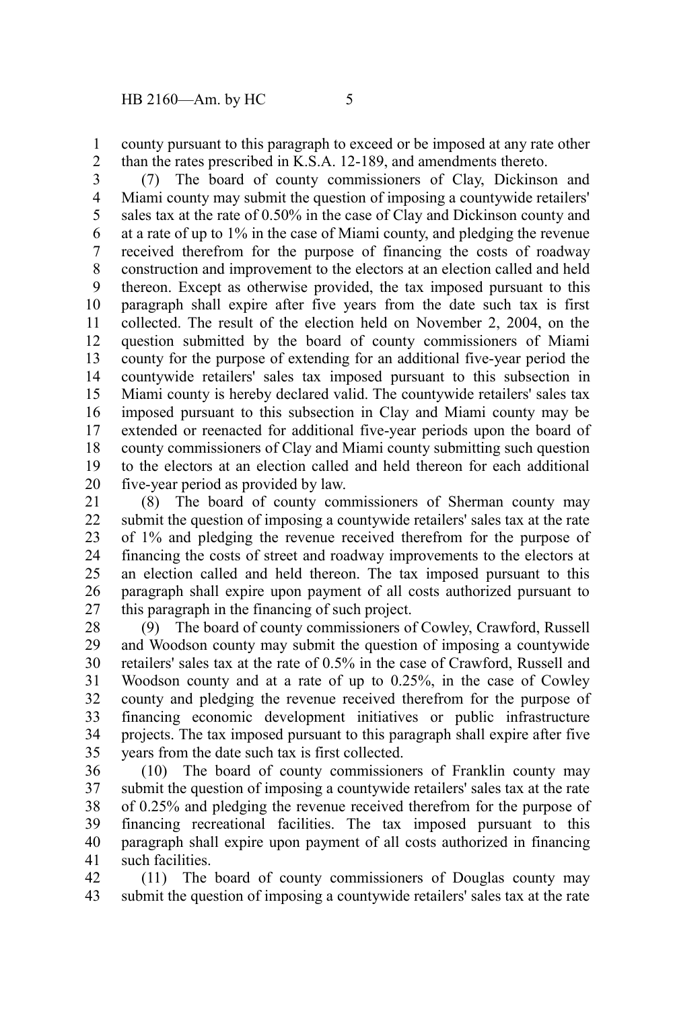county pursuant to this paragraph to exceed or be imposed at any rate other than the rates prescribed in K.S.A. 12-189, and amendments thereto. 1 2

(7) The board of county commissioners of Clay, Dickinson and Miami county may submit the question of imposing a countywide retailers' sales tax at the rate of 0.50% in the case of Clay and Dickinson county and at a rate of up to 1% in the case of Miami county, and pledging the revenue received therefrom for the purpose of financing the costs of roadway construction and improvement to the electors at an election called and held thereon. Except as otherwise provided, the tax imposed pursuant to this paragraph shall expire after five years from the date such tax is first collected. The result of the election held on November 2, 2004, on the question submitted by the board of county commissioners of Miami county for the purpose of extending for an additional five-year period the countywide retailers' sales tax imposed pursuant to this subsection in Miami county is hereby declared valid. The countywide retailers' sales tax imposed pursuant to this subsection in Clay and Miami county may be extended or reenacted for additional five-year periods upon the board of county commissioners of Clay and Miami county submitting such question to the electors at an election called and held thereon for each additional five-year period as provided by law. 3 4 5 6 7 8 9 10 11 12 13 14 15 16 17 18 19 20

(8) The board of county commissioners of Sherman county may submit the question of imposing a countywide retailers' sales tax at the rate of 1% and pledging the revenue received therefrom for the purpose of financing the costs of street and roadway improvements to the electors at an election called and held thereon. The tax imposed pursuant to this paragraph shall expire upon payment of all costs authorized pursuant to this paragraph in the financing of such project. 21 22 23 24 25 26 27

(9) The board of county commissioners of Cowley, Crawford, Russell and Woodson county may submit the question of imposing a countywide retailers' sales tax at the rate of 0.5% in the case of Crawford, Russell and Woodson county and at a rate of up to 0.25%, in the case of Cowley county and pledging the revenue received therefrom for the purpose of financing economic development initiatives or public infrastructure projects. The tax imposed pursuant to this paragraph shall expire after five years from the date such tax is first collected. 28 29 30 31 32 33 34 35

(10) The board of county commissioners of Franklin county may submit the question of imposing a countywide retailers' sales tax at the rate of 0.25% and pledging the revenue received therefrom for the purpose of financing recreational facilities. The tax imposed pursuant to this paragraph shall expire upon payment of all costs authorized in financing such facilities. 36 37 38 39 40 41

(11) The board of county commissioners of Douglas county may submit the question of imposing a countywide retailers' sales tax at the rate 42 43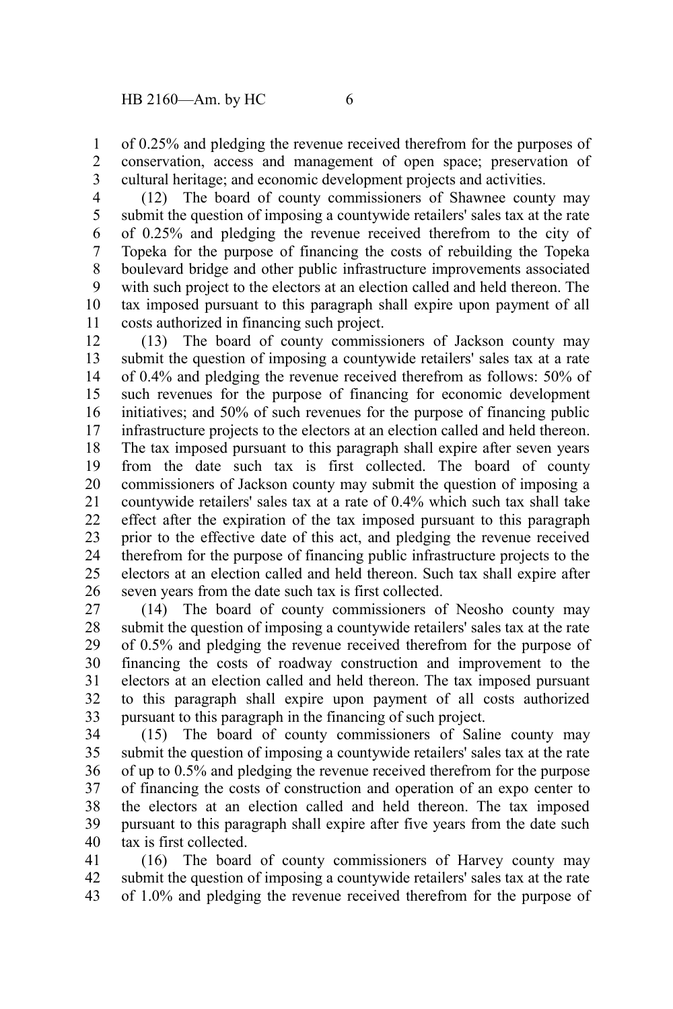of 0.25% and pledging the revenue received therefrom for the purposes of conservation, access and management of open space; preservation of cultural heritage; and economic development projects and activities. 1 2 3

(12) The board of county commissioners of Shawnee county may submit the question of imposing a countywide retailers' sales tax at the rate of 0.25% and pledging the revenue received therefrom to the city of Topeka for the purpose of financing the costs of rebuilding the Topeka boulevard bridge and other public infrastructure improvements associated with such project to the electors at an election called and held thereon. The tax imposed pursuant to this paragraph shall expire upon payment of all costs authorized in financing such project. 4 5 6 7 8 9 10 11

(13) The board of county commissioners of Jackson county may submit the question of imposing a countywide retailers' sales tax at a rate of 0.4% and pledging the revenue received therefrom as follows: 50% of such revenues for the purpose of financing for economic development initiatives; and 50% of such revenues for the purpose of financing public infrastructure projects to the electors at an election called and held thereon. The tax imposed pursuant to this paragraph shall expire after seven years from the date such tax is first collected. The board of county commissioners of Jackson county may submit the question of imposing a countywide retailers' sales tax at a rate of 0.4% which such tax shall take effect after the expiration of the tax imposed pursuant to this paragraph prior to the effective date of this act, and pledging the revenue received therefrom for the purpose of financing public infrastructure projects to the electors at an election called and held thereon. Such tax shall expire after seven years from the date such tax is first collected. 12 13 14 15 16 17 18 19 20 21 22 23 24 25 26

(14) The board of county commissioners of Neosho county may submit the question of imposing a countywide retailers' sales tax at the rate of 0.5% and pledging the revenue received therefrom for the purpose of financing the costs of roadway construction and improvement to the electors at an election called and held thereon. The tax imposed pursuant to this paragraph shall expire upon payment of all costs authorized pursuant to this paragraph in the financing of such project. 27 28 29 30 31 32 33

(15) The board of county commissioners of Saline county may submit the question of imposing a countywide retailers' sales tax at the rate of up to 0.5% and pledging the revenue received therefrom for the purpose of financing the costs of construction and operation of an expo center to the electors at an election called and held thereon. The tax imposed pursuant to this paragraph shall expire after five years from the date such tax is first collected. 34 35 36 37 38 39 40

(16) The board of county commissioners of Harvey county may submit the question of imposing a countywide retailers' sales tax at the rate of 1.0% and pledging the revenue received therefrom for the purpose of 41 42 43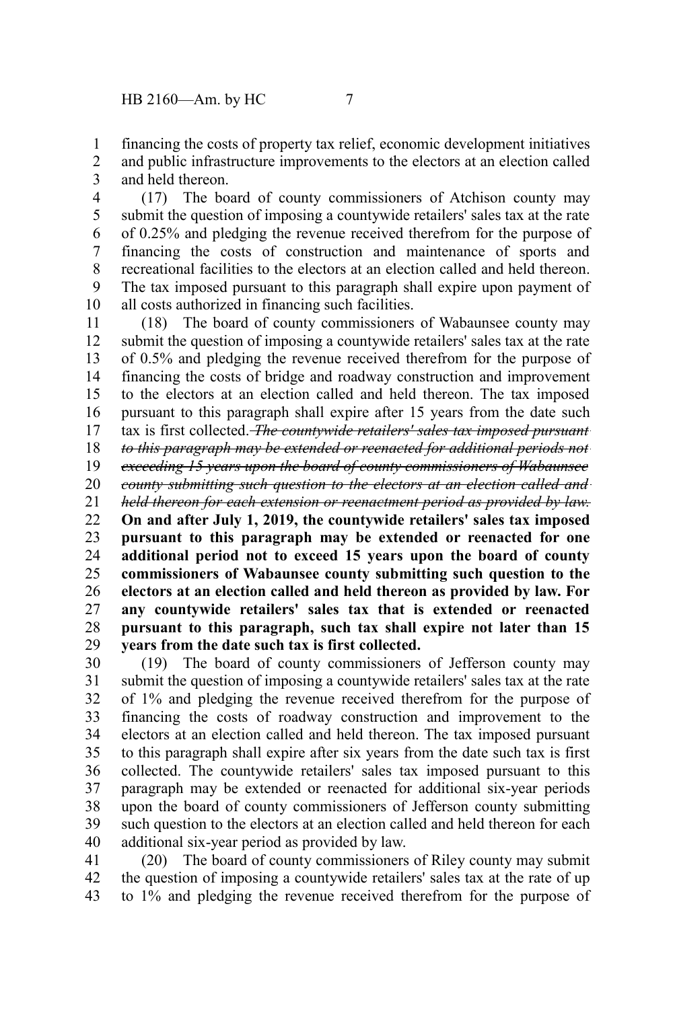financing the costs of property tax relief, economic development initiatives and public infrastructure improvements to the electors at an election called and held thereon. 1 2 3

(17) The board of county commissioners of Atchison county may submit the question of imposing a countywide retailers' sales tax at the rate of 0.25% and pledging the revenue received therefrom for the purpose of financing the costs of construction and maintenance of sports and recreational facilities to the electors at an election called and held thereon. The tax imposed pursuant to this paragraph shall expire upon payment of all costs authorized in financing such facilities. 4 5 6 7 8 9 10

(18) The board of county commissioners of Wabaunsee county may submit the question of imposing a countywide retailers' sales tax at the rate of 0.5% and pledging the revenue received therefrom for the purpose of financing the costs of bridge and roadway construction and improvement to the electors at an election called and held thereon. The tax imposed pursuant to this paragraph shall expire after 15 years from the date such tax is first collected. *The countywide retailers' sales tax imposed pursuant to this paragraph may be extended or reenacted for additional periods not exceeding 15 years upon the board of county commissioners of Wabaunsee county submitting such question to the electors at an election called and held thereon for each extension or reenactment period as provided by law.* **On and after July 1, 2019, the countywide retailers' sales tax imposed pursuant to this paragraph may be extended or reenacted for one additional period not to exceed 15 years upon the board of county commissioners of Wabaunsee county submitting such question to the electors at an election called and held thereon as provided by law. For any countywide retailers' sales tax that is extended or reenacted pursuant to this paragraph, such tax shall expire not later than 15 years from the date such tax is first collected.** 11 12 13 14 15 16 17 18 19 20 21 22 23 24 25 26 27 28 29

(19) The board of county commissioners of Jefferson county may submit the question of imposing a countywide retailers' sales tax at the rate of 1% and pledging the revenue received therefrom for the purpose of financing the costs of roadway construction and improvement to the electors at an election called and held thereon. The tax imposed pursuant to this paragraph shall expire after six years from the date such tax is first collected. The countywide retailers' sales tax imposed pursuant to this paragraph may be extended or reenacted for additional six-year periods upon the board of county commissioners of Jefferson county submitting such question to the electors at an election called and held thereon for each additional six-year period as provided by law. 30 31 32 33 34 35 36 37 38 39 40

(20) The board of county commissioners of Riley county may submit the question of imposing a countywide retailers' sales tax at the rate of up to 1% and pledging the revenue received therefrom for the purpose of 41 42 43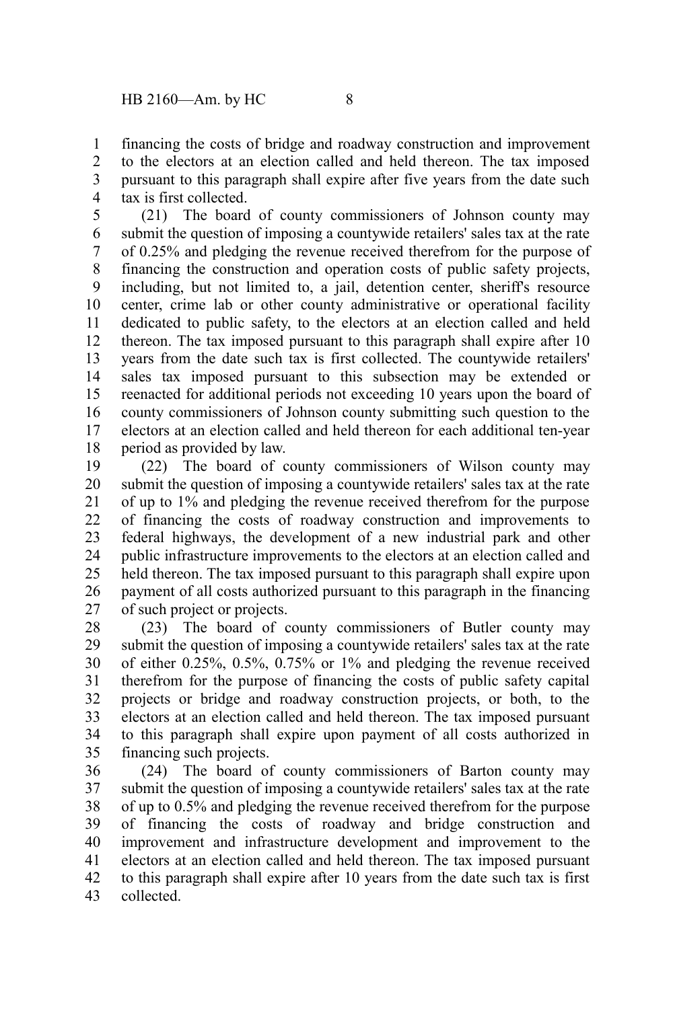financing the costs of bridge and roadway construction and improvement to the electors at an election called and held thereon. The tax imposed pursuant to this paragraph shall expire after five years from the date such tax is first collected. 1  $\mathcal{L}$ 3 4

(21) The board of county commissioners of Johnson county may submit the question of imposing a countywide retailers' sales tax at the rate of 0.25% and pledging the revenue received therefrom for the purpose of financing the construction and operation costs of public safety projects, including, but not limited to, a jail, detention center, sheriff's resource center, crime lab or other county administrative or operational facility dedicated to public safety, to the electors at an election called and held thereon. The tax imposed pursuant to this paragraph shall expire after 10 years from the date such tax is first collected. The countywide retailers' sales tax imposed pursuant to this subsection may be extended or reenacted for additional periods not exceeding 10 years upon the board of county commissioners of Johnson county submitting such question to the electors at an election called and held thereon for each additional ten-year period as provided by law. 5 6 7 8 9 10 11 12 13 14 15 16 17 18

(22) The board of county commissioners of Wilson county may submit the question of imposing a countywide retailers' sales tax at the rate of up to 1% and pledging the revenue received therefrom for the purpose of financing the costs of roadway construction and improvements to federal highways, the development of a new industrial park and other public infrastructure improvements to the electors at an election called and held thereon. The tax imposed pursuant to this paragraph shall expire upon payment of all costs authorized pursuant to this paragraph in the financing of such project or projects. 19 20 21 22 23 24 25 26 27

(23) The board of county commissioners of Butler county may submit the question of imposing a countywide retailers' sales tax at the rate of either  $0.25\%$ ,  $0.5\%$ ,  $0.75\%$  or 1% and pledging the revenue received therefrom for the purpose of financing the costs of public safety capital projects or bridge and roadway construction projects, or both, to the electors at an election called and held thereon. The tax imposed pursuant to this paragraph shall expire upon payment of all costs authorized in financing such projects. 28 29 30 31 32 33 34 35

(24) The board of county commissioners of Barton county may submit the question of imposing a countywide retailers' sales tax at the rate of up to 0.5% and pledging the revenue received therefrom for the purpose of financing the costs of roadway and bridge construction and improvement and infrastructure development and improvement to the electors at an election called and held thereon. The tax imposed pursuant to this paragraph shall expire after 10 years from the date such tax is first collected. 36 37 38 39 40 41 42 43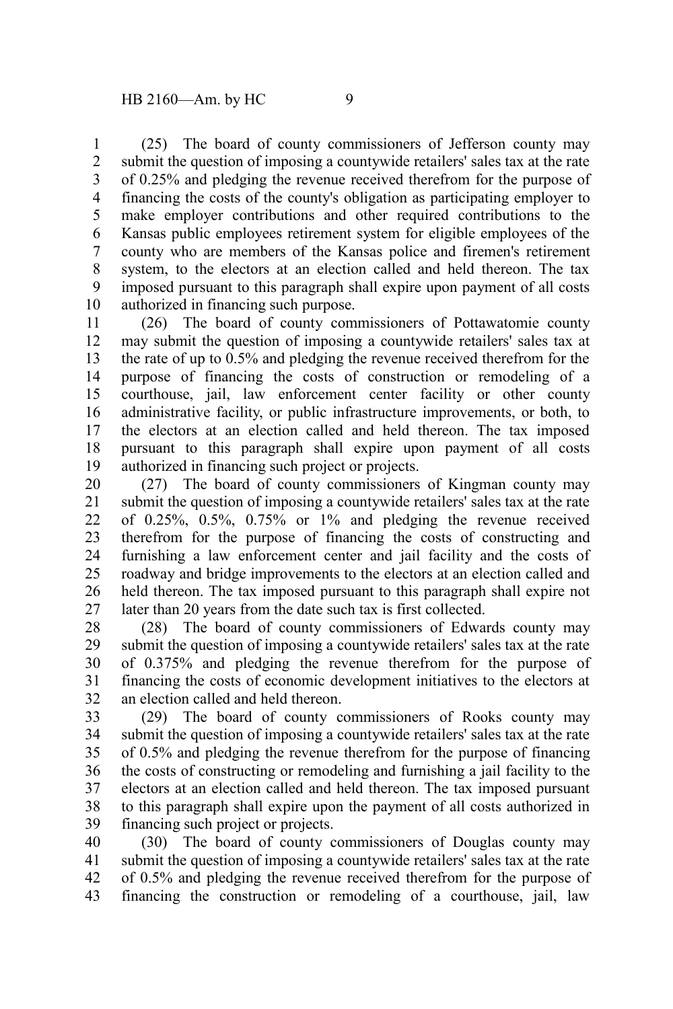(25) The board of county commissioners of Jefferson county may submit the question of imposing a countywide retailers' sales tax at the rate of 0.25% and pledging the revenue received therefrom for the purpose of financing the costs of the county's obligation as participating employer to make employer contributions and other required contributions to the Kansas public employees retirement system for eligible employees of the county who are members of the Kansas police and firemen's retirement system, to the electors at an election called and held thereon. The tax imposed pursuant to this paragraph shall expire upon payment of all costs authorized in financing such purpose. 1 2 3 4 5 6 7 8 9 10

(26) The board of county commissioners of Pottawatomie county may submit the question of imposing a countywide retailers' sales tax at the rate of up to 0.5% and pledging the revenue received therefrom for the purpose of financing the costs of construction or remodeling of a courthouse, jail, law enforcement center facility or other county administrative facility, or public infrastructure improvements, or both, to the electors at an election called and held thereon. The tax imposed pursuant to this paragraph shall expire upon payment of all costs authorized in financing such project or projects. 11 12 13 14 15 16 17 18 19

(27) The board of county commissioners of Kingman county may submit the question of imposing a countywide retailers' sales tax at the rate of  $0.25\%$ ,  $0.5\%$ ,  $0.75\%$  or  $1\%$  and pledging the revenue received therefrom for the purpose of financing the costs of constructing and furnishing a law enforcement center and jail facility and the costs of roadway and bridge improvements to the electors at an election called and held thereon. The tax imposed pursuant to this paragraph shall expire not later than 20 years from the date such tax is first collected. 20 21 22 23 24 25 26 27

(28) The board of county commissioners of Edwards county may submit the question of imposing a countywide retailers' sales tax at the rate of 0.375% and pledging the revenue therefrom for the purpose of financing the costs of economic development initiatives to the electors at an election called and held thereon. 28 29 30 31 32

(29) The board of county commissioners of Rooks county may submit the question of imposing a countywide retailers' sales tax at the rate of 0.5% and pledging the revenue therefrom for the purpose of financing the costs of constructing or remodeling and furnishing a jail facility to the electors at an election called and held thereon. The tax imposed pursuant to this paragraph shall expire upon the payment of all costs authorized in financing such project or projects. 33 34 35 36 37 38 39

(30) The board of county commissioners of Douglas county may submit the question of imposing a countywide retailers' sales tax at the rate of 0.5% and pledging the revenue received therefrom for the purpose of financing the construction or remodeling of a courthouse, jail, law 40 41 42 43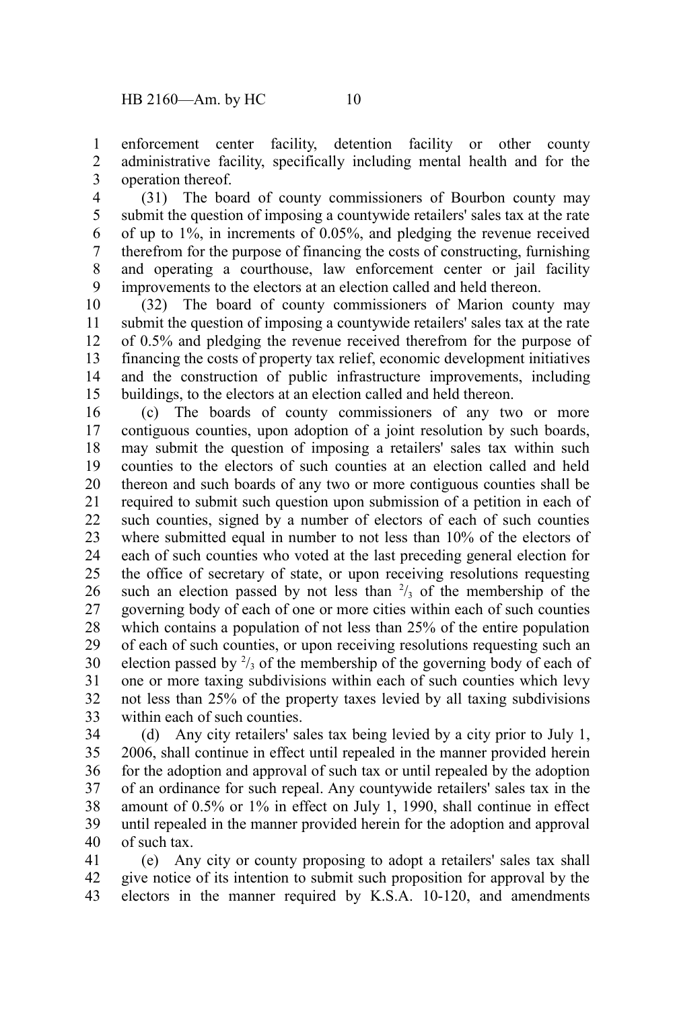enforcement center facility, detention facility or other county administrative facility, specifically including mental health and for the operation thereof. 1 2 3

(31) The board of county commissioners of Bourbon county may submit the question of imposing a countywide retailers' sales tax at the rate of up to 1%, in increments of 0.05%, and pledging the revenue received therefrom for the purpose of financing the costs of constructing, furnishing and operating a courthouse, law enforcement center or jail facility improvements to the electors at an election called and held thereon. 4 5 6 7 8 9

(32) The board of county commissioners of Marion county may submit the question of imposing a countywide retailers' sales tax at the rate of 0.5% and pledging the revenue received therefrom for the purpose of financing the costs of property tax relief, economic development initiatives and the construction of public infrastructure improvements, including buildings, to the electors at an election called and held thereon. 10 11 12 13 14 15

(c) The boards of county commissioners of any two or more contiguous counties, upon adoption of a joint resolution by such boards, may submit the question of imposing a retailers' sales tax within such counties to the electors of such counties at an election called and held thereon and such boards of any two or more contiguous counties shall be required to submit such question upon submission of a petition in each of such counties, signed by a number of electors of each of such counties where submitted equal in number to not less than 10% of the electors of each of such counties who voted at the last preceding general election for the office of secretary of state, or upon receiving resolutions requesting such an election passed by not less than  $\frac{2}{3}$  of the membership of the governing body of each of one or more cities within each of such counties which contains a population of not less than 25% of the entire population of each of such counties, or upon receiving resolutions requesting such an election passed by  $\frac{2}{3}$  of the membership of the governing body of each of one or more taxing subdivisions within each of such counties which levy not less than 25% of the property taxes levied by all taxing subdivisions within each of such counties. 16 17 18 19 20 21 22 23 24 25 26 27 28 29 30 31 32 33

(d) Any city retailers' sales tax being levied by a city prior to July 1, 2006, shall continue in effect until repealed in the manner provided herein for the adoption and approval of such tax or until repealed by the adoption of an ordinance for such repeal. Any countywide retailers' sales tax in the amount of 0.5% or 1% in effect on July 1, 1990, shall continue in effect until repealed in the manner provided herein for the adoption and approval of such tax. 34 35 36 37 38 39 40

(e) Any city or county proposing to adopt a retailers' sales tax shall give notice of its intention to submit such proposition for approval by the electors in the manner required by K.S.A. 10-120, and amendments 41 42 43